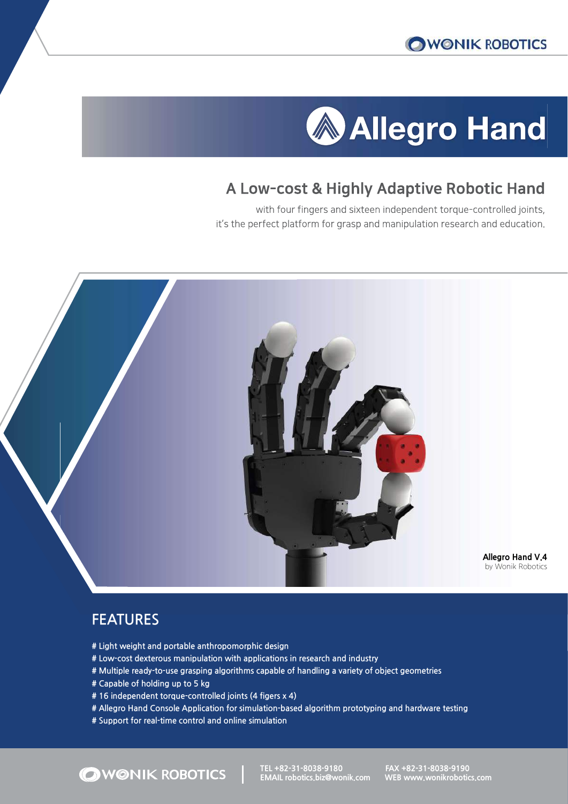# **Allegro Hand**

# A Low-cost & Highly Adaptive Robotic Hand

with four fingers and sixteen independent torque-controlled joints, it's the perfect platform for grasp and manipulation research and education.



## FEATURES

- # Light weight and portable anthropomorphic design
- # Low-cost dexterous manipulation with applications in research and industry
- # Multiple ready-to-use grasping algorithms capable of handling a variety of object geometries
- # Capable of holding up to 5 kg

OWONIK ROBOTICS

- # 16 independent torque-controlled joints (4 figers x 4)
- # Allegro Hand Console Application for simulation-based algorithm prototyping and hardware testing
- # Support for real-time control and online simulation

TEL +82-31-8038-9180<br>FAX +82-31-8038-9190

EMAIL robotics.biz@wonik.comeeWEB www.wonikrobotics.com